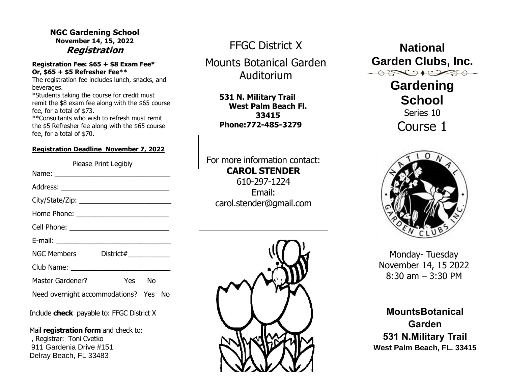# **NGC Gardening School November 14, 15, 2022**

#### **Registration Fee: \$65 + \$8 Exam Fee\* Or, \$65 + \$5 Refresher Fee\*\***

The registration fee includes lunch, snacks, and beverages.

\*Students taking the course for credit must remit the \$8 exam fee along with the \$65 course fee, for a total of \$73.

\*\*Consultants who wish to refresh must remit the \$5 Refresher fee along with the \$65 course fee, for a total of \$70.

#### **Registration Deadline November 7, 2022**

| Please Print Legibly                  |        |  |  |
|---------------------------------------|--------|--|--|
|                                       |        |  |  |
|                                       |        |  |  |
|                                       |        |  |  |
|                                       |        |  |  |
|                                       |        |  |  |
|                                       |        |  |  |
| NGC Members District#                 |        |  |  |
|                                       |        |  |  |
| Master Gardener?                      | Yes No |  |  |
| Need overnight accommodations? Yes No |        |  |  |

Include **check** payable to: FFGC District X

Mail **registration form** and check to: , Registrar: Toni Cvetko 911 Gardenia Drive #151 Delray Beach, FL 33483

FFGC District X

Mounts Botanical Garden Auditorium

**531 N. Military Trail West Palm Beach Fl. 33415 Phone:772-485-3279**

For more information contact: **CAROL STENDER** 610-297-1224 Email:

carol.stender@gmail.com

**Registration National Garden Clubs, Inc.**  $\bigoplus_{i=1}^n \bigoplus_{i=1}^n \bigoplus_{i=1}^n \bigoplus_{i=1}^n \bigoplus_{i=1}^n \bigoplus_{i=1}^n \bigoplus_{i=1}^n \bigoplus_{i=1}^n \bigoplus_{i=1}^n \bigoplus_{i=1}^n \bigoplus_{i=1}^n \bigoplus_{i=1}^n \bigoplus_{i=1}^n \bigoplus_{i=1}^n \bigoplus_{i=1}^n \bigoplus_{i=1}^n \bigoplus_{i=1}^n \bigoplus_{i=1}^n \bigoplus_{i=1}^n \bigoplus_{i=1}^n$ 

**Gardening School** Series 10 Course 1



Monday- Tuesday November 14, 15 2022 8:30 am – 3:30 PM

**MountsBotanical Garden 531 N.Military Trail West Palm Beach, FL. 33415**